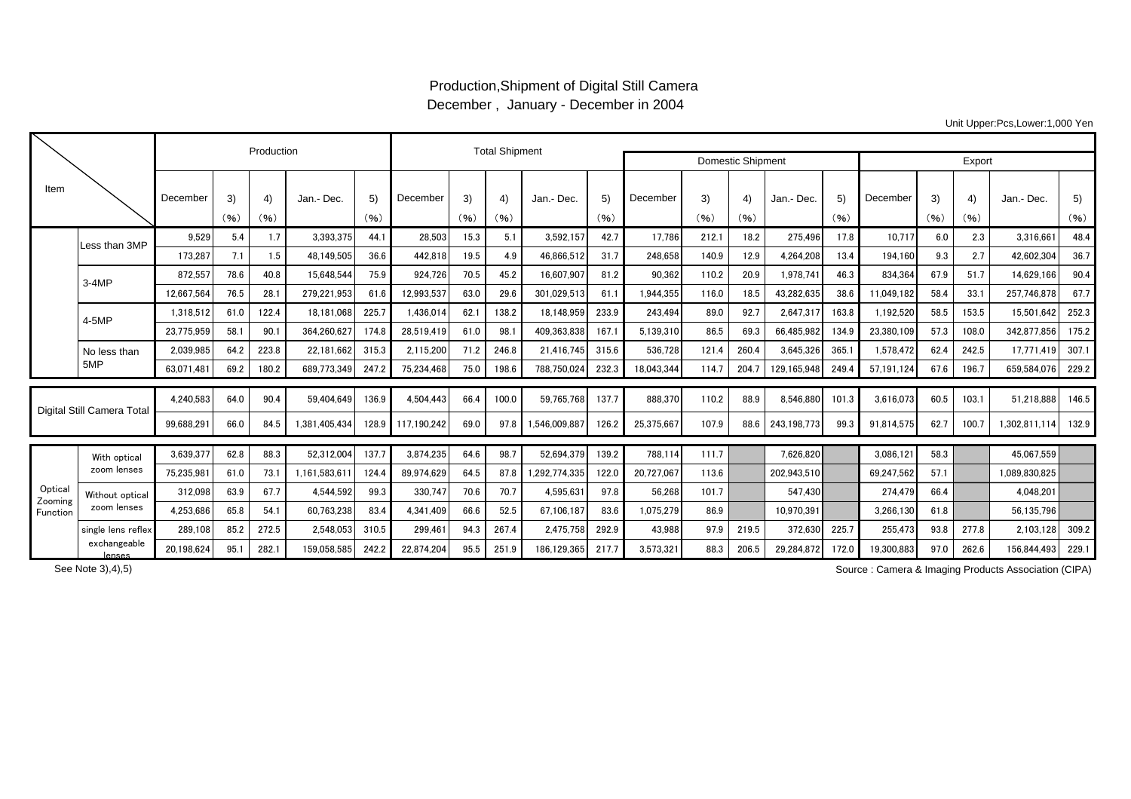## Production,Shipment of Digital Still Camera December , January - December in 2004

Unit Upper:Pcs,Lower:1,000 Yen

|                                |                                |            | Production |            |               | <b>Total Shipment</b> |             |            |            |                          |            |            |            |            |             |            |            |            |            |               |            |
|--------------------------------|--------------------------------|------------|------------|------------|---------------|-----------------------|-------------|------------|------------|--------------------------|------------|------------|------------|------------|-------------|------------|------------|------------|------------|---------------|------------|
|                                |                                |            |            |            |               |                       |             |            |            | <b>Domestic Shipment</b> | Export     |            |            |            |             |            |            |            |            |               |            |
| Item                           |                                | December   | 3)<br>(96) | 4)<br>(96) | Jan.- Dec.    | 5)<br>(96)            | December    | 3)<br>(96) | 4)<br>(96) | Jan.- Dec.               | 5)<br>(96) | December   | 3)<br>(96) | 4)<br>(96) | Jan.- Dec.  | 5)<br>(96) | December   | 3)<br>(96) | 4)<br>(96) | Jan.- Dec.    | 5)<br>(96) |
|                                | Less than 3MP                  | 9,529      | 5.4        | 1.7        | 3.393.375     | 44.1                  | 28,503      | 15.3       | 5.1        | 3,592,157                | 42.7       | 17.786     | 212.1      | 18.2       | 275.496     | 17.8       | 10.717     | 6.0        | 2.3        | 3.316.661     | 48.4       |
|                                |                                | 173.287    | 7.1        | 1.5        | 48.149.505    | 36.6                  | 442.818     | 19.5       | 4.9        | 46.866.512               | 31.7       | 248.658    | 140.9      | 12.9       | 4.264.208   | 13.4       | 194.160    | 9.3        | 2.7        | 42.602.304    | 36.7       |
|                                | $3-4MP$                        | 872,557    | 78.6       | 40.8       | 15,648,544    | 75.9                  | 924,726     | 70.5       | 45.2       | 16,607,907               | 81.2       | 90,362     | 110.2      | 20.9       | 1,978,74    | 46.3       | 834,364    | 67.9       | 51.7       | 14,629,166    | 90.4       |
|                                |                                | 12,667,564 | 76.5       | 28.1       | 279,221,953   | 61.6                  | 12,993,537  | 63.0       | 29.6       | 301,029,513              | 61.1       | 1,944,355  | 116.0      | 18.5       | 43,282,635  | 38.6       | 11.049.182 | 58.4       | 33.1       | 257,746,878   | 67.7       |
|                                | 4-5MP                          | 1.318.512  | 61.0       | 122.4      | 18.181.068    | 225.7                 | 1,436,014   | 62.1       | 138.2      | 18.148.959               | 233.9      | 243.494    | 89.0       | 92.7       | 2.647.31    | 163.8      | 1,192,520  | 58.5       | 153.5      | 15.501.642    | 252.3      |
|                                |                                | 23,775,959 | 58.1       | 90.1       | 364.260.62    | 174.8                 | 28.519.419  | 61.0       | 98.1       | 409.363.838              | 167.       | 5.139.310  | 86.5       | 69.3       | 66.485.982  | 134.9      | 23.380.109 | 57.3       | 108.0      | 342.877.856   | 175.2      |
|                                | No less than<br>5MP            | 2,039,985  | 64.2       | 223.8      | 22.181.662    | 315.3                 | 2,115,200   | 71.2       | 246.8      | 21.416.745               | 315.6      | 536.728    | 121.4      | 260.4      | 3,645,326   | 365.1      | 1.578.472  | 62.4       | 242.5      | 17.771.419    | 307.1      |
|                                |                                | 63.071.48  | 69.2       | 180.2      | 689.773.349   | 247.2                 | 75,234,468  | 75.0       | 198.6      | 788.750.024              | 232.3      | 18.043.344 | 114.7      | 204.7      | 129,165,948 | 249.4      | 57.191.124 | 67.6       | 196.7      | 659.584.076   | 229.2      |
| Digital Still Camera Total     |                                | 4,240,583  | 64.0       | 90.4       | 59.404.649    | 136.9                 | 4,504,443   | 66.4       | 100.0      | 59,765,768               | 137.7      | 888,370    | 110.2      | 88.9       | 8,546,880   | 101.3      | 3.616.073  | 60.5       | 103.1      | 51.218.888    | 146.5      |
|                                |                                | 99,688,291 | 66.0       | 84.5       | 1,381,405,434 | 128.9                 | 117.190.242 | 69.0       | 97.8       | 1.546.009.887            | 126.2      | 25,375,667 | 107.9      | 88.6       | 243,198,773 | 99.3       | 91,814,575 | 62.7       | 100.7      | 1.302.811.114 | 132.9      |
| Optical<br>Zooming<br>Function | With optical<br>zoom lenses    | 3,639,377  | 62.8       | 88.3       | 52,312,004    | 137.7                 | 3,874,235   | 64.6       | 98.7       | 52,694,379               | 139.2      | 788,114    | 111.7      |            | 7.626.820   |            | 3,086,121  | 58.3       |            | 45,067,559    |            |
|                                |                                | 75,235,98  | 61.0       | 73.1       | 1,161,583,61  | 124.4                 | 89.974.629  | 64.5       | 87.8       | .292,774,335             | 122.0      | 20.727.067 | 113.6      |            | 202.943.510 |            | 69.247.562 | 57.1       |            | 1,089,830,825 |            |
|                                | Without optical<br>zoom lenses | 312,098    | 63.9       | 67.7       | 4.544.592     | 99.3                  | 330,747     | 70.6       | 70.7       | 4,595,631                | 97.8       | 56,268     | 101.7      |            | 547.430     |            | 274.479    | 66.4       |            | 4.048.201     |            |
|                                |                                | 4.253.686  | 65.8       | 54.1       | 60.763.238    | 83.4                  | 4.341.409   | 66.6       | 52.5       | 67.106.187               | 83.6       | 1.075.279  | 86.9       |            | 10.970.391  |            | 3.266.130  | 61.8       |            | 56.135.796    |            |
|                                | single lens reflex             | 289,108    | 85.2       | 272.5      | 2,548,053     | 310.5                 | 299,461     | 94.3       | 267.4      | 2,475,758                | 292.9      | 43,988     | 97.9       | 219.5      | 372,630     | 225.7      | 255,473    | 93.8       | 277.8      | 2,103,128     | 309.2      |
|                                | exchangeable<br>lenses         | 20,198,624 | 95.1       | 282.1      | 159,058,585   | 242.2                 | 22,874,204  | 95.5       | 251.9      | 186,129,365              | 217.7      | 3,573,321  | 88.3       | 206.5      | 29,284,872  | 172.0      | 19,300,883 | 97.0       | 262.6      | 156,844,493   | 229.1      |

See Note 3),4),5)

Source : Camera & Imaging Products Association (CIPA)